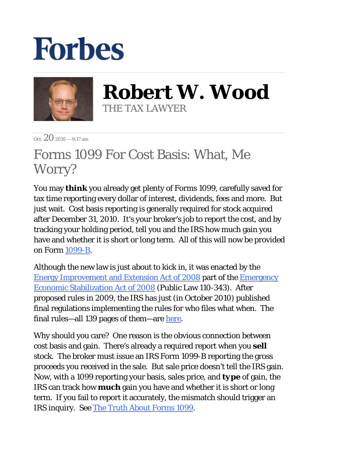## **Forbes**



**Robert W. Wood** THE TAX LAWYER

 $\cot 20$  2010 — 9:17 am

## Forms 1099 For Cost Basis: What, Me Worry?

You may *think* you already get plenty of Forms 1099, carefully saved for tax time reporting every dollar of interest, dividends, fees and more. But just wait. Cost basis reporting is generally required for stock acquired after December 31, 2010. It's your broker's job to report the cost, and by tracking your holding period, tell you and the IRS how much gain you have and whether it is short or long term. All of this will now be provided on Form 1099-B.

Although the new law is just about to kick in, it was enacted by the Energy Improvement and Extension Act of 2008 part of the Emergency Economic Stabilization Act of 2008 (Public Law 110-343). After proposed rules in 2009, the IRS has just (in October 2010) published final regulations implementing the rules for who files what when. The final rules—all 139 pages of them—are here.

Why should you care? One reason is the obvious connection between cost basis and gain. There's already a required report when you *sell* stock. The broker must issue an IRS Form 1099-B reporting the gross proceeds you received in the sale. But sale price doesn't tell the IRS gain. Now, with a 1099 reporting your basis, sales price, and *type* of gain, the IRS can track how *much* gain you have and whether it is short or long term. If you fail to report it accurately, the mismatch should trigger an IRS inquiry. See The Truth About Forms 1099.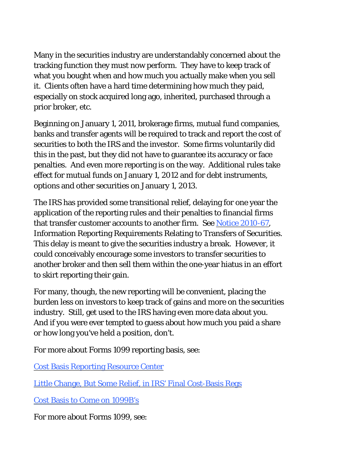Many in the securities industry are understandably concerned about the tracking function they must now perform. They have to keep track of what you bought when and how much you actually make when you sell it. Clients often have a hard time determining how much they paid, especially on stock acquired long ago, inherited, purchased through a prior broker, etc.

Beginning on January 1, 2011, brokerage firms, mutual fund companies, banks and transfer agents will be required to track and report the cost of securities to both the IRS and the investor. Some firms voluntarily did this in the past, but they did not have to guarantee its accuracy or face penalties. And even more reporting is on the way. Additional rules take effect for mutual funds on January 1, 2012 and for debt instruments, options and other securities on January 1, 2013.

The IRS has provided some transitional relief, delaying for one year the application of the reporting rules and their penalties to financial firms that transfer customer accounts to another firm. See Notice 2010-67, Information Reporting Requirements Relating to Transfers of Securities. This delay is meant to give the securities industry a break. However, it could conceivably encourage some investors to transfer securities to another broker and then sell them within the one-year hiatus in an effort to skirt reporting their gain.

For many, though, the new reporting will be convenient, placing the burden less on investors to keep track of gains and more on the securities industry. Still, get used to the IRS having even more data about you. And if you were ever tempted to guess about how much you paid a share or how long you've held a position, don't.

For more about Forms 1099 reporting basis, see:

Cost Basis Reporting Resource Center

Little Change, But Some Relief, in IRS' Final Cost-Basis Regs

Cost Basis to Come on 1099B's

For more about Forms 1099, see: